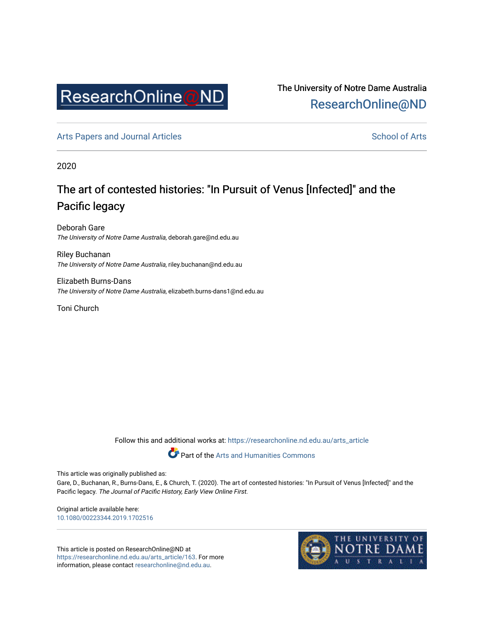

The University of Notre Dame Australia [ResearchOnline@ND](https://researchonline.nd.edu.au/) 

[Arts Papers and Journal Articles](https://researchonline.nd.edu.au/arts_article) and [School of Arts](https://researchonline.nd.edu.au/arts) School of Arts

2020

## The art of contested histories: "In Pursuit of Venus [Infected]" and the Pacific legacy

Deborah Gare The University of Notre Dame Australia, deborah.gare@nd.edu.au

Riley Buchanan The University of Notre Dame Australia, riley.buchanan@nd.edu.au

Elizabeth Burns-Dans The University of Notre Dame Australia, elizabeth.burns-dans1@nd.edu.au

Toni Church

Follow this and additional works at: [https://researchonline.nd.edu.au/arts\\_article](https://researchonline.nd.edu.au/arts_article?utm_source=researchonline.nd.edu.au%2Farts_article%2F163&utm_medium=PDF&utm_campaign=PDFCoverPages) 

Part of the [Arts and Humanities Commons](http://network.bepress.com/hgg/discipline/438?utm_source=researchonline.nd.edu.au%2Farts_article%2F163&utm_medium=PDF&utm_campaign=PDFCoverPages) 

This article was originally published as:

Gare, D., Buchanan, R., Burns-Dans, E., & Church, T. (2020). The art of contested histories: "In Pursuit of Venus [Infected]" and the Pacific legacy. The Journal of Pacific History, Early View Online First.

Original article available here: [10.1080/00223344.2019.1702516](https://doi.org/10.1080/00223344.2019.1702516%20) 

This article is posted on ResearchOnline@ND at [https://researchonline.nd.edu.au/arts\\_article/163](https://researchonline.nd.edu.au/arts_article/163). For more information, please contact [researchonline@nd.edu.au.](mailto:researchonline@nd.edu.au)

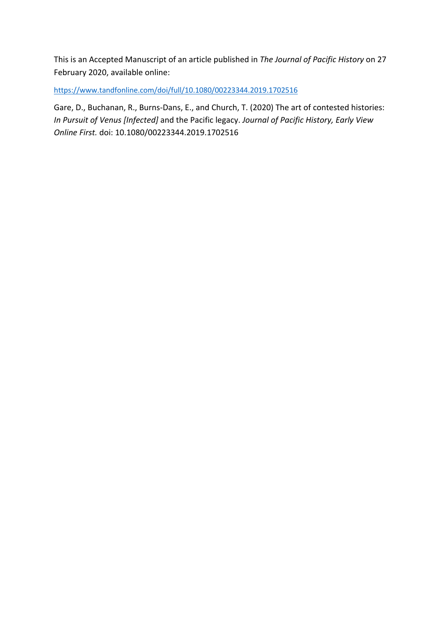This is an Accepted Manuscript of an article published in *The Journal of Pacific History* on 27 February 2020, available online:

https://www.tandfonline.com/doi/full/10.1080/00223344.2019.1702516

Gare, D., Buchanan, R., Burns-Dans, E., and Church, T. (2020) The art of contested histories: *In Pursuit of Venus [Infected]* and the Pacific legacy. *Journal of Pacific History, Early View Online First.* doi: 10.1080/00223344.2019.1702516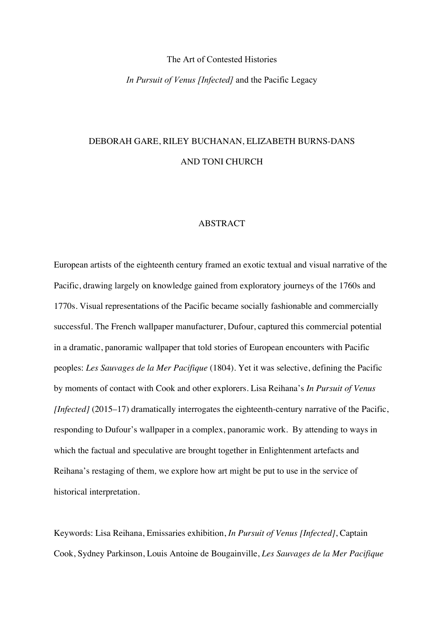#### The Art of Contested Histories

*In Pursuit of Venus [Infected]* and the Pacific Legacy

# DEBORAH GARE, RILEY BUCHANAN, ELIZABETH BURNS-DANS AND TONI CHURCH

#### ABSTRACT

European artists of the eighteenth century framed an exotic textual and visual narrative of the Pacific, drawing largely on knowledge gained from exploratory journeys of the 1760s and 1770s. Visual representations of the Pacific became socially fashionable and commercially successful. The French wallpaper manufacturer, Dufour, captured this commercial potential in a dramatic, panoramic wallpaper that told stories of European encounters with Pacific peoples: *Les Sauvages de la Mer Pacifique* (1804). Yet it was selective, defining the Pacific by moments of contact with Cook and other explorers. Lisa Reihana's *In Pursuit of Venus [Infected]* (2015–17) dramatically interrogates the eighteenth-century narrative of the Pacific, responding to Dufour's wallpaper in a complex, panoramic work. By attending to ways in which the factual and speculative are brought together in Enlightenment artefacts and Reihana's restaging of them*,* we explore how art might be put to use in the service of historical interpretation.

Keywords: Lisa Reihana, Emissaries exhibition, *In Pursuit of Venus [Infected]*, Captain Cook, Sydney Parkinson, Louis Antoine de Bougainville, *Les Sauvages de la Mer Pacifique*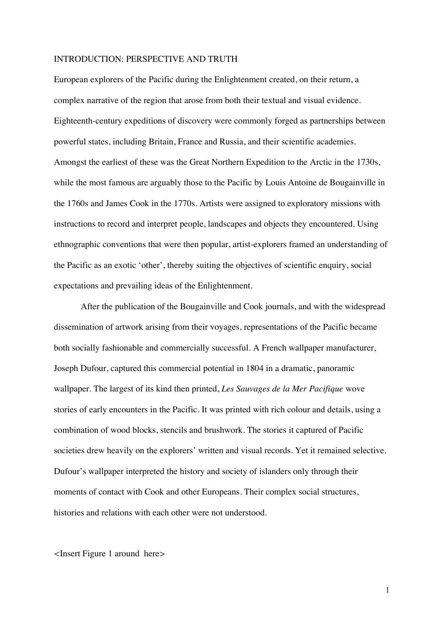#### INTRODUCTION: PERSPECTIVE AND TRUTH

European explorers of the Pacific during the Enlightenment created, on their return, a complex narrative of the region that arose from both their textual and visual evidence. Eighteenth-century expeditions of discovery were commonly forged as partnerships between powerful states, including Britain, France and Russia, and their scientific academies. Amongst the earliest of these was the Great Northern Expedition to the Arctic in the 1730s, while the most famous are arguably those to the Pacific by Louis Antoine de Bougainville in the 1760s and James Cook in the 1770s. Artists were assigned to exploratory missions with instructions to record and interpret people, landscapes and objects they encountered. Using ethnographic conventions that were then popular, artist-explorers framed an understanding of the Pacific as an exotic 'other', thereby suiting the objectives of scientific enquiry, social expectations and prevailing ideas of the Enlightenment.

After the publication of the Bougainville and Cook journals, and with the widespread dissemination of artwork arising from their voyages, representations of the Pacific became both socially fashionable and commercially successful. A French wallpaper manufacturer, Joseph Dufour, captured this commercial potential in 1804 in a dramatic, panoramic wallpaper. The largest of its kind then printed, *Les Sauvages de la Mer Pacifique* wove stories of early encounters in the Pacific. It was printed with rich colour and details, using a combination of wood blocks, stencils and brushwork. The stories it captured of Pacific societies drew heavily on the explorers' written and visual records. Yet it remained selective. Dufour's wallpaper interpreted the history and society of islanders only through their moments of contact with Cook and other Europeans. Their complex social structures, histories and relations with each other were not understood.

*<*Insert Figure 1 around here*>*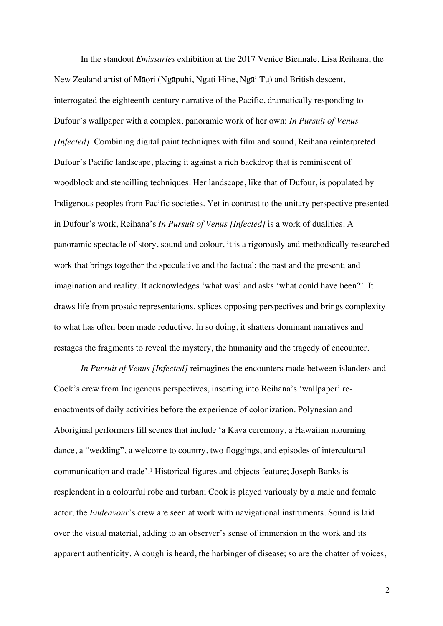In the standout *Emissaries* exhibition at the 2017 Venice Biennale, Lisa Reihana, the New Zealand artist of Māori (Ngāpuhi, Ngati Hine, Ngāi Tu) and British descent, interrogated the eighteenth-century narrative of the Pacific, dramatically responding to Dufour's wallpaper with a complex, panoramic work of her own: *In Pursuit of Venus [Infected]*. Combining digital paint techniques with film and sound, Reihana reinterpreted Dufour's Pacific landscape, placing it against a rich backdrop that is reminiscent of woodblock and stencilling techniques. Her landscape, like that of Dufour, is populated by Indigenous peoples from Pacific societies. Yet in contrast to the unitary perspective presented in Dufour's work, Reihana's *In Pursuit of Venus [Infected]* is a work of dualities. A panoramic spectacle of story, sound and colour, it is a rigorously and methodically researched work that brings together the speculative and the factual; the past and the present; and imagination and reality. It acknowledges 'what was' and asks 'what could have been?'. It draws life from prosaic representations, splices opposing perspectives and brings complexity to what has often been made reductive. In so doing, it shatters dominant narratives and restages the fragments to reveal the mystery, the humanity and the tragedy of encounter.

*In Pursuit of Venus [Infected]* reimagines the encounters made between islanders and Cook's crew from Indigenous perspectives, inserting into Reihana's 'wallpaper' reenactments of daily activities before the experience of colonization. Polynesian and Aboriginal performers fill scenes that include 'a Kava ceremony, a Hawaiian mourning dance, a "wedding", a welcome to country, two floggings, and episodes of intercultural communication and trade'. <sup>1</sup> Historical figures and objects feature; Joseph Banks is resplendent in a colourful robe and turban; Cook is played variously by a male and female actor; the *Endeavour*'s crew are seen at work with navigational instruments. Sound is laid over the visual material, adding to an observer's sense of immersion in the work and its apparent authenticity. A cough is heard, the harbinger of disease; so are the chatter of voices,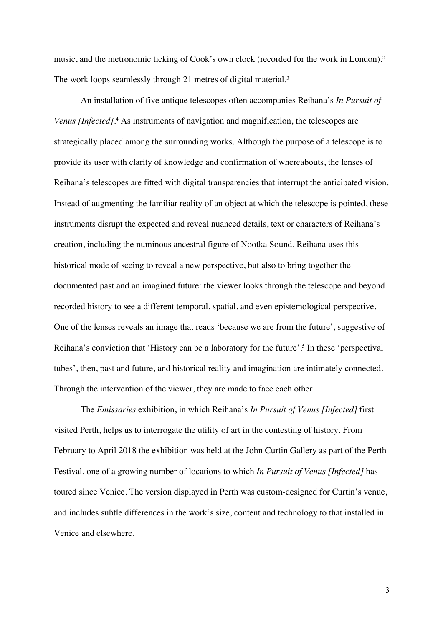music, and the metronomic ticking of Cook's own clock (recorded for the work in London).2 The work loops seamlessly through 21 metres of digital material.<sup>3</sup>

An installation of five antique telescopes often accompanies Reihana's *In Pursuit of Venus [Infected]*. <sup>4</sup> As instruments of navigation and magnification, the telescopes are strategically placed among the surrounding works. Although the purpose of a telescope is to provide its user with clarity of knowledge and confirmation of whereabouts, the lenses of Reihana's telescopes are fitted with digital transparencies that interrupt the anticipated vision. Instead of augmenting the familiar reality of an object at which the telescope is pointed, these instruments disrupt the expected and reveal nuanced details, text or characters of Reihana's creation, including the numinous ancestral figure of Nootka Sound. Reihana uses this historical mode of seeing to reveal a new perspective, but also to bring together the documented past and an imagined future: the viewer looks through the telescope and beyond recorded history to see a different temporal, spatial, and even epistemological perspective. One of the lenses reveals an image that reads 'because we are from the future', suggestive of Reihana's conviction that 'History can be a laboratory for the future'. <sup>5</sup> In these 'perspectival tubes', then, past and future, and historical reality and imagination are intimately connected. Through the intervention of the viewer, they are made to face each other.

The *Emissaries* exhibition, in which Reihana's *In Pursuit of Venus [Infected]* first visited Perth, helps us to interrogate the utility of art in the contesting of history. From February to April 2018 the exhibition was held at the John Curtin Gallery as part of the Perth Festival, one of a growing number of locations to which *In Pursuit of Venus [Infected]* has toured since Venice. The version displayed in Perth was custom-designed for Curtin's venue, and includes subtle differences in the work's size, content and technology to that installed in Venice and elsewhere.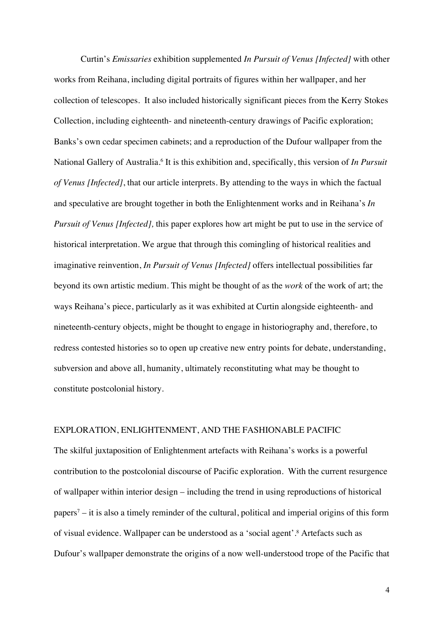Curtin's *Emissaries* exhibition supplemented *In Pursuit of Venus [Infected]* with other works from Reihana, including digital portraits of figures within her wallpaper, and her collection of telescopes. It also included historically significant pieces from the Kerry Stokes Collection, including eighteenth- and nineteenth-century drawings of Pacific exploration; Banks's own cedar specimen cabinets; and a reproduction of the Dufour wallpaper from the National Gallery of Australia.6 It is this exhibition and, specifically, this version of *In Pursuit of Venus [Infected]*, that our article interprets. By attending to the ways in which the factual and speculative are brought together in both the Enlightenment works and in Reihana's *In Pursuit of Venus [Infected]*, this paper explores how art might be put to use in the service of historical interpretation. We argue that through this comingling of historical realities and imaginative reinvention, *In Pursuit of Venus [Infected]* offers intellectual possibilities far beyond its own artistic medium. This might be thought of as the *work* of the work of art; the ways Reihana's piece, particularly as it was exhibited at Curtin alongside eighteenth- and nineteenth-century objects, might be thought to engage in historiography and, therefore, to redress contested histories so to open up creative new entry points for debate, understanding, subversion and above all, humanity, ultimately reconstituting what may be thought to constitute postcolonial history.

#### EXPLORATION, ENLIGHTENMENT, AND THE FASHIONABLE PACIFIC

The skilful juxtaposition of Enlightenment artefacts with Reihana's works is a powerful contribution to the postcolonial discourse of Pacific exploration. With the current resurgence of wallpaper within interior design – including the trend in using reproductions of historical papers7 – it is also a timely reminder of the cultural, political and imperial origins of this form of visual evidence. Wallpaper can be understood as a 'social agent'. <sup>8</sup> Artefacts such as Dufour's wallpaper demonstrate the origins of a now well-understood trope of the Pacific that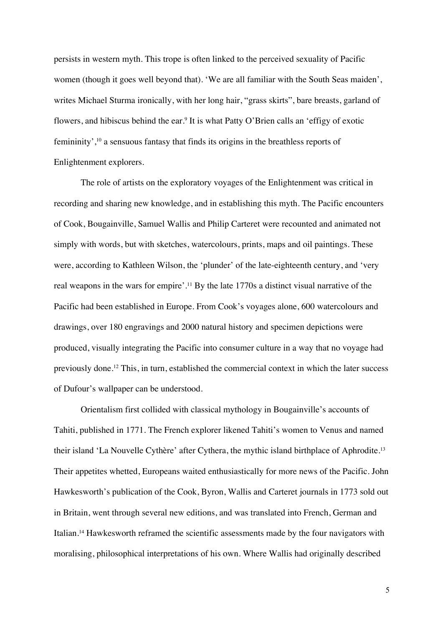persists in western myth. This trope is often linked to the perceived sexuality of Pacific women (though it goes well beyond that). 'We are all familiar with the South Seas maiden', writes Michael Sturma ironically, with her long hair, "grass skirts", bare breasts, garland of flowers, and hibiscus behind the ear.9 It is what Patty O'Brien calls an 'effigy of exotic femininity',10 a sensuous fantasy that finds its origins in the breathless reports of Enlightenment explorers.

The role of artists on the exploratory voyages of the Enlightenment was critical in recording and sharing new knowledge, and in establishing this myth. The Pacific encounters of Cook, Bougainville, Samuel Wallis and Philip Carteret were recounted and animated not simply with words, but with sketches, watercolours, prints, maps and oil paintings. These were, according to Kathleen Wilson, the 'plunder' of the late-eighteenth century, and 'very real weapons in the wars for empire'. <sup>11</sup> By the late 1770s a distinct visual narrative of the Pacific had been established in Europe. From Cook's voyages alone, 600 watercolours and drawings, over 180 engravings and 2000 natural history and specimen depictions were produced, visually integrating the Pacific into consumer culture in a way that no voyage had previously done.12 This, in turn, established the commercial context in which the later success of Dufour's wallpaper can be understood.

Orientalism first collided with classical mythology in Bougainville's accounts of Tahiti, published in 1771. The French explorer likened Tahiti's women to Venus and named their island 'La Nouvelle Cythère' after Cythera, the mythic island birthplace of Aphrodite.13 Their appetites whetted, Europeans waited enthusiastically for more news of the Pacific. John Hawkesworth's publication of the Cook, Byron, Wallis and Carteret journals in 1773 sold out in Britain, went through several new editions, and was translated into French, German and Italian.14 Hawkesworth reframed the scientific assessments made by the four navigators with moralising, philosophical interpretations of his own. Where Wallis had originally described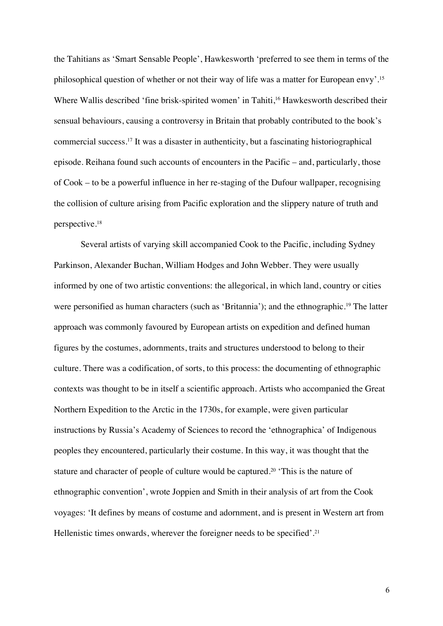the Tahitians as 'Smart Sensable People', Hawkesworth 'preferred to see them in terms of the philosophical question of whether or not their way of life was a matter for European envy'. 15 Where Wallis described 'fine brisk-spirited women' in Tahiti, <sup>16</sup> Hawkesworth described their sensual behaviours, causing a controversy in Britain that probably contributed to the book's commercial success. <sup>17</sup> It was a disaster in authenticity, but a fascinating historiographical episode. Reihana found such accounts of encounters in the Pacific – and, particularly, those of Cook – to be a powerful influence in her re-staging of the Dufour wallpaper, recognising the collision of culture arising from Pacific exploration and the slippery nature of truth and perspective.18

Several artists of varying skill accompanied Cook to the Pacific, including Sydney Parkinson, Alexander Buchan, William Hodges and John Webber. They were usually informed by one of two artistic conventions: the allegorical, in which land, country or cities were personified as human characters (such as 'Britannia'); and the ethnographic.19 The latter approach was commonly favoured by European artists on expedition and defined human figures by the costumes, adornments, traits and structures understood to belong to their culture. There was a codification, of sorts, to this process: the documenting of ethnographic contexts was thought to be in itself a scientific approach. Artists who accompanied the Great Northern Expedition to the Arctic in the 1730s, for example, were given particular instructions by Russia's Academy of Sciences to record the 'ethnographica' of Indigenous peoples they encountered, particularly their costume. In this way, it was thought that the stature and character of people of culture would be captured. <sup>20</sup> 'This is the nature of ethnographic convention', wrote Joppien and Smith in their analysis of art from the Cook voyages: 'It defines by means of costume and adornment, and is present in Western art from Hellenistic times onwards, wherever the foreigner needs to be specified'. 21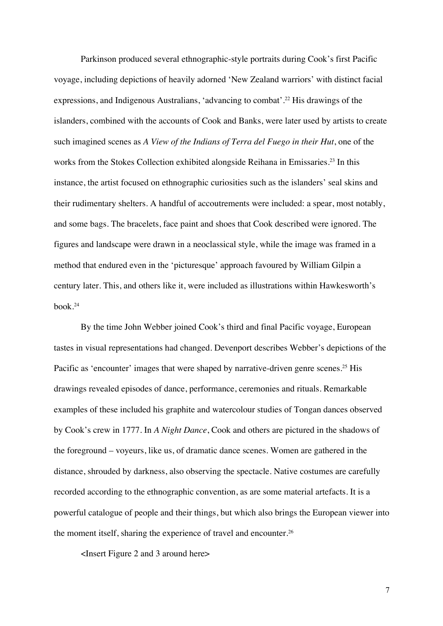Parkinson produced several ethnographic-style portraits during Cook's first Pacific voyage, including depictions of heavily adorned 'New Zealand warriors' with distinct facial expressions, and Indigenous Australians, 'advancing to combat'. <sup>22</sup> His drawings of the islanders, combined with the accounts of Cook and Banks, were later used by artists to create such imagined scenes as *A View of the Indians of Terra del Fuego in their Hut*, one of the works from the Stokes Collection exhibited alongside Reihana in Emissaries. <sup>23</sup> In this instance, the artist focused on ethnographic curiosities such as the islanders' seal skins and their rudimentary shelters. A handful of accoutrements were included: a spear, most notably, and some bags. The bracelets, face paint and shoes that Cook described were ignored. The figures and landscape were drawn in a neoclassical style, while the image was framed in a method that endured even in the 'picturesque' approach favoured by William Gilpin a century later. This, and others like it, were included as illustrations within Hawkesworth's book. 24

By the time John Webber joined Cook's third and final Pacific voyage, European tastes in visual representations had changed. Devenport describes Webber's depictions of the Pacific as 'encounter' images that were shaped by narrative-driven genre scenes.<sup>25</sup> His drawings revealed episodes of dance, performance, ceremonies and rituals. Remarkable examples of these included his graphite and watercolour studies of Tongan dances observed by Cook's crew in 1777. In *A Night Dance*, Cook and others are pictured in the shadows of the foreground – voyeurs, like us, of dramatic dance scenes. Women are gathered in the distance, shrouded by darkness, also observing the spectacle. Native costumes are carefully recorded according to the ethnographic convention, as are some material artefacts. It is a powerful catalogue of people and their things, but which also brings the European viewer into the moment itself, sharing the experience of travel and encounter.26

<Insert Figure 2 and 3 around here>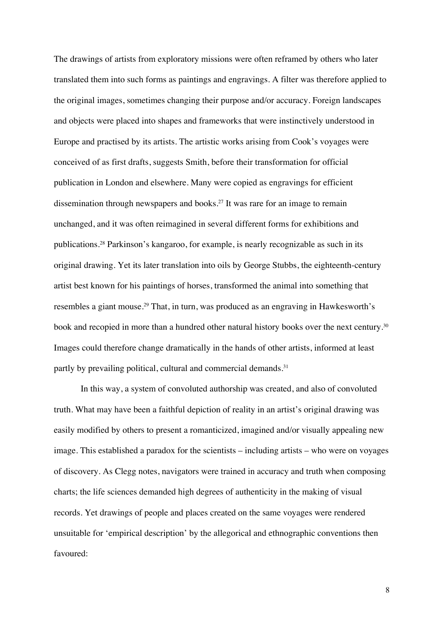The drawings of artists from exploratory missions were often reframed by others who later translated them into such forms as paintings and engravings. A filter was therefore applied to the original images, sometimes changing their purpose and/or accuracy. Foreign landscapes and objects were placed into shapes and frameworks that were instinctively understood in Europe and practised by its artists. The artistic works arising from Cook's voyages were conceived of as first drafts, suggests Smith, before their transformation for official publication in London and elsewhere. Many were copied as engravings for efficient dissemination through newspapers and books. <sup>27</sup> It was rare for an image to remain unchanged, and it was often reimagined in several different forms for exhibitions and publications. <sup>28</sup> Parkinson's kangaroo, for example, is nearly recognizable as such in its original drawing. Yet its later translation into oils by George Stubbs, the eighteenth-century artist best known for his paintings of horses, transformed the animal into something that resembles a giant mouse.29 That, in turn, was produced as an engraving in Hawkesworth's book and recopied in more than a hundred other natural history books over the next century. $^{30}$ Images could therefore change dramatically in the hands of other artists, informed at least partly by prevailing political, cultural and commercial demands.<sup>31</sup>

In this way, a system of convoluted authorship was created, and also of convoluted truth. What may have been a faithful depiction of reality in an artist's original drawing was easily modified by others to present a romanticized, imagined and/or visually appealing new image. This established a paradox for the scientists – including artists – who were on voyages of discovery. As Clegg notes, navigators were trained in accuracy and truth when composing charts; the life sciences demanded high degrees of authenticity in the making of visual records. Yet drawings of people and places created on the same voyages were rendered unsuitable for 'empirical description' by the allegorical and ethnographic conventions then favoured: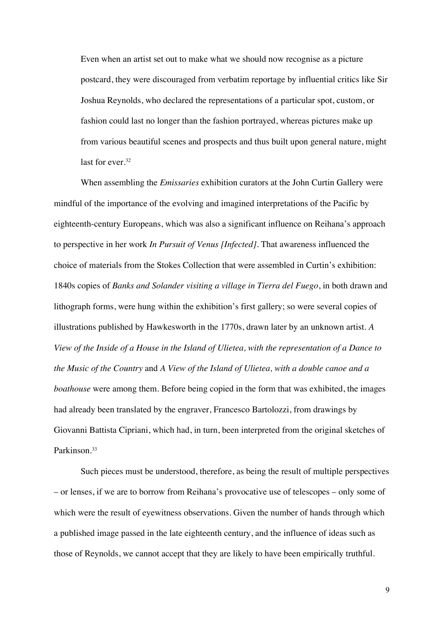Even when an artist set out to make what we should now recognise as a picture postcard, they were discouraged from verbatim reportage by influential critics like Sir Joshua Reynolds, who declared the representations of a particular spot, custom, or fashion could last no longer than the fashion portrayed, whereas pictures make up from various beautiful scenes and prospects and thus built upon general nature, might last for ever. 32

When assembling the *Emissaries* exhibition curators at the John Curtin Gallery were mindful of the importance of the evolving and imagined interpretations of the Pacific by eighteenth-century Europeans, which was also a significant influence on Reihana's approach to perspective in her work *In Pursuit of Venus [Infected]*. That awareness influenced the choice of materials from the Stokes Collection that were assembled in Curtin's exhibition: 1840s copies of *Banks and Solander visiting a village in Tierra del Fuego*, in both drawn and lithograph forms, were hung within the exhibition's first gallery; so were several copies of illustrations published by Hawkesworth in the 1770s, drawn later by an unknown artist. *A View of the Inside of a House in the Island of Ulietea, with the representation of a Dance to the Music of the Country* and *A View of the Island of Ulietea, with a double canoe and a boathouse* were among them. Before being copied in the form that was exhibited, the images had already been translated by the engraver, Francesco Bartolozzi, from drawings by Giovanni Battista Cipriani, which had, in turn, been interpreted from the original sketches of Parkinson. 33

Such pieces must be understood, therefore, as being the result of multiple perspectives – or lenses, if we are to borrow from Reihana's provocative use of telescopes – only some of which were the result of eyewitness observations. Given the number of hands through which a published image passed in the late eighteenth century, and the influence of ideas such as those of Reynolds, we cannot accept that they are likely to have been empirically truthful.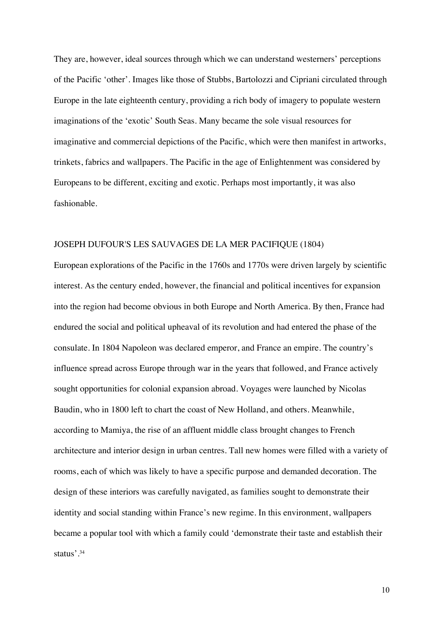They are, however, ideal sources through which we can understand westerners' perceptions of the Pacific 'other'. Images like those of Stubbs, Bartolozzi and Cipriani circulated through Europe in the late eighteenth century, providing a rich body of imagery to populate western imaginations of the 'exotic' South Seas. Many became the sole visual resources for imaginative and commercial depictions of the Pacific, which were then manifest in artworks, trinkets, fabrics and wallpapers. The Pacific in the age of Enlightenment was considered by Europeans to be different, exciting and exotic. Perhaps most importantly, it was also fashionable.

#### JOSEPH DUFOUR'S LES SAUVAGES DE LA MER PACIFIQUE (1804)

European explorations of the Pacific in the 1760s and 1770s were driven largely by scientific interest. As the century ended, however, the financial and political incentives for expansion into the region had become obvious in both Europe and North America. By then, France had endured the social and political upheaval of its revolution and had entered the phase of the consulate. In 1804 Napoleon was declared emperor, and France an empire. The country's influence spread across Europe through war in the years that followed, and France actively sought opportunities for colonial expansion abroad. Voyages were launched by Nicolas Baudin, who in 1800 left to chart the coast of New Holland, and others. Meanwhile, according to Mamiya, the rise of an affluent middle class brought changes to French architecture and interior design in urban centres. Tall new homes were filled with a variety of rooms, each of which was likely to have a specific purpose and demanded decoration. The design of these interiors was carefully navigated, as families sought to demonstrate their identity and social standing within France's new regime. In this environment, wallpapers became a popular tool with which a family could 'demonstrate their taste and establish their status'. 34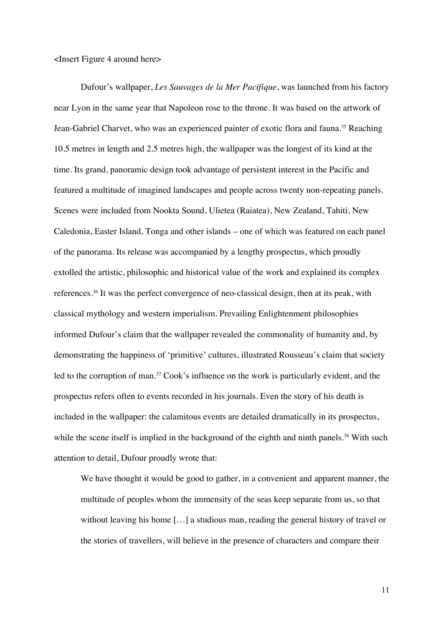<Insert Figure 4 around here>

Dufour's wallpaper, *Les Sauvages de la Mer Pacifique*, was launched from his factory near Lyon in the same year that Napoleon rose to the throne. It was based on the artwork of Jean-Gabriel Charvet, who was an experienced painter of exotic flora and fauna. <sup>35</sup> Reaching 10.5 metres in length and 2.5 metres high, the wallpaper was the longest of its kind at the time. Its grand, panoramic design took advantage of persistent interest in the Pacific and featured a multitude of imagined landscapes and people across twenty non-repeating panels. Scenes were included from Nookta Sound, Ulietea (Raiatea), New Zealand, Tahiti, New Caledonia, Easter Island, Tonga and other islands – one of which was featured on each panel of the panorama. Its release was accompanied by a lengthy prospectus, which proudly extolled the artistic, philosophic and historical value of the work and explained its complex references. <sup>36</sup> It was the perfect convergence of neo-classical design, then at its peak, with classical mythology and western imperialism. Prevailing Enlightenment philosophies informed Dufour's claim that the wallpaper revealed the commonality of humanity and, by demonstrating the happiness of 'primitive' cultures, illustrated Rousseau's claim that society led to the corruption of man.<sup>37</sup> Cook's influence on the work is particularly evident, and the prospectus refers often to events recorded in his journals. Even the story of his death is included in the wallpaper: the calamitous events are detailed dramatically in its prospectus, while the scene itself is implied in the background of the eighth and ninth panels.<sup>38</sup> With such attention to detail, Dufour proudly wrote that:

We have thought it would be good to gather, in a convenient and apparent manner, the multitude of peoples whom the immensity of the seas keep separate from us, so that without leaving his home [...] a studious man, reading the general history of travel or the stories of travellers, will believe in the presence of characters and compare their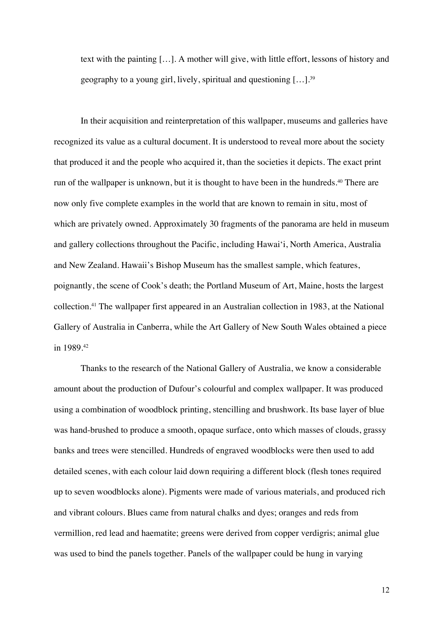text with the painting […]. A mother will give, with little effort, lessons of history and geography to a young girl, lively, spiritual and questioning  $[...]$ .<sup>39</sup>

In their acquisition and reinterpretation of this wallpaper, museums and galleries have recognized its value as a cultural document. It is understood to reveal more about the society that produced it and the people who acquired it, than the societies it depicts. The exact print run of the wallpaper is unknown, but it is thought to have been in the hundreds.<sup>40</sup> There are now only five complete examples in the world that are known to remain in situ, most of which are privately owned. Approximately 30 fragments of the panorama are held in museum and gallery collections throughout the Pacific, including Hawai'i, North America, Australia and New Zealand. Hawaii's Bishop Museum has the smallest sample, which features, poignantly, the scene of Cook's death; the Portland Museum of Art, Maine, hosts the largest collection.41 The wallpaper first appeared in an Australian collection in 1983, at the National Gallery of Australia in Canberra, while the Art Gallery of New South Wales obtained a piece in 1989.42

Thanks to the research of the National Gallery of Australia, we know a considerable amount about the production of Dufour's colourful and complex wallpaper. It was produced using a combination of woodblock printing, stencilling and brushwork. Its base layer of blue was hand-brushed to produce a smooth, opaque surface, onto which masses of clouds, grassy banks and trees were stencilled. Hundreds of engraved woodblocks were then used to add detailed scenes, with each colour laid down requiring a different block (flesh tones required up to seven woodblocks alone). Pigments were made of various materials, and produced rich and vibrant colours. Blues came from natural chalks and dyes; oranges and reds from vermillion, red lead and haematite; greens were derived from copper verdigris; animal glue was used to bind the panels together. Panels of the wallpaper could be hung in varying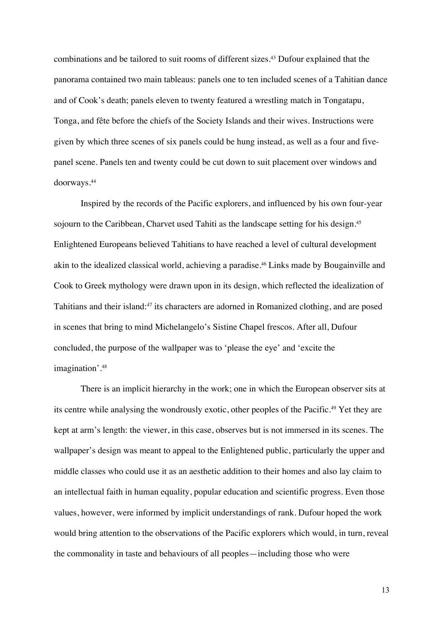combinations and be tailored to suit rooms of different sizes. <sup>43</sup> Dufour explained that the panorama contained two main tableaus: panels one to ten included scenes of a Tahitian dance and of Cook's death; panels eleven to twenty featured a wrestling match in Tongatapu, Tonga, and fête before the chiefs of the Society Islands and their wives. Instructions were given by which three scenes of six panels could be hung instead, as well as a four and fivepanel scene. Panels ten and twenty could be cut down to suit placement over windows and doorways. 44

Inspired by the records of the Pacific explorers, and influenced by his own four-year sojourn to the Caribbean, Charvet used Tahiti as the landscape setting for his design. 45 Enlightened Europeans believed Tahitians to have reached a level of cultural development akin to the idealized classical world, achieving a paradise. <sup>46</sup> Links made by Bougainville and Cook to Greek mythology were drawn upon in its design, which reflected the idealization of Tahitians and their island:47 its characters are adorned in Romanized clothing, and are posed in scenes that bring to mind Michelangelo's Sistine Chapel frescos. After all, Dufour concluded, the purpose of the wallpaper was to 'please the eye' and 'excite the imagination'. 48

There is an implicit hierarchy in the work; one in which the European observer sits at its centre while analysing the wondrously exotic, other peoples of the Pacific. <sup>49</sup> Yet they are kept at arm's length: the viewer, in this case, observes but is not immersed in its scenes. The wallpaper's design was meant to appeal to the Enlightened public, particularly the upper and middle classes who could use it as an aesthetic addition to their homes and also lay claim to an intellectual faith in human equality, popular education and scientific progress. Even those values, however, were informed by implicit understandings of rank. Dufour hoped the work would bring attention to the observations of the Pacific explorers which would, in turn, reveal the commonality in taste and behaviours of all peoples—including those who were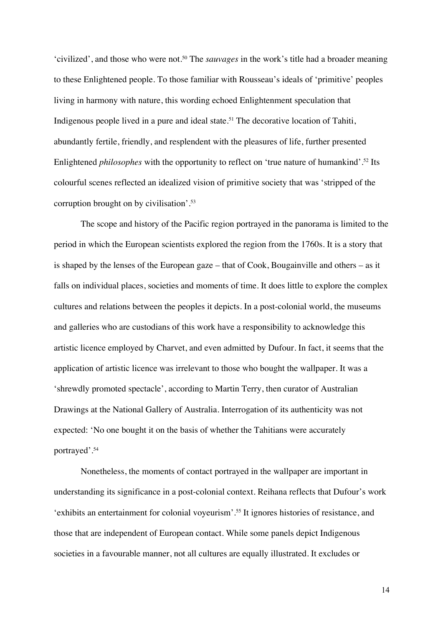'civilized', and those who were not.50 The *sauvages* in the work's title had a broader meaning to these Enlightened people. To those familiar with Rousseau's ideals of 'primitive' peoples living in harmony with nature, this wording echoed Enlightenment speculation that Indigenous people lived in a pure and ideal state. <sup>51</sup> The decorative location of Tahiti, abundantly fertile, friendly, and resplendent with the pleasures of life, further presented Enlightened *philosophes* with the opportunity to reflect on 'true nature of humankind'. <sup>52</sup> Its colourful scenes reflected an idealized vision of primitive society that was 'stripped of the corruption brought on by civilisation'. 53

The scope and history of the Pacific region portrayed in the panorama is limited to the period in which the European scientists explored the region from the 1760s. It is a story that is shaped by the lenses of the European gaze – that of Cook, Bougainville and others – as it falls on individual places, societies and moments of time. It does little to explore the complex cultures and relations between the peoples it depicts. In a post-colonial world, the museums and galleries who are custodians of this work have a responsibility to acknowledge this artistic licence employed by Charvet, and even admitted by Dufour. In fact, it seems that the application of artistic licence was irrelevant to those who bought the wallpaper. It was a 'shrewdly promoted spectacle', according to Martin Terry, then curator of Australian Drawings at the National Gallery of Australia. Interrogation of its authenticity was not expected: 'No one bought it on the basis of whether the Tahitians were accurately portrayed'. 54

Nonetheless, the moments of contact portrayed in the wallpaper are important in understanding its significance in a post-colonial context. Reihana reflects that Dufour's work 'exhibits an entertainment for colonial voyeurism'. <sup>55</sup> It ignores histories of resistance, and those that are independent of European contact. While some panels depict Indigenous societies in a favourable manner, not all cultures are equally illustrated. It excludes or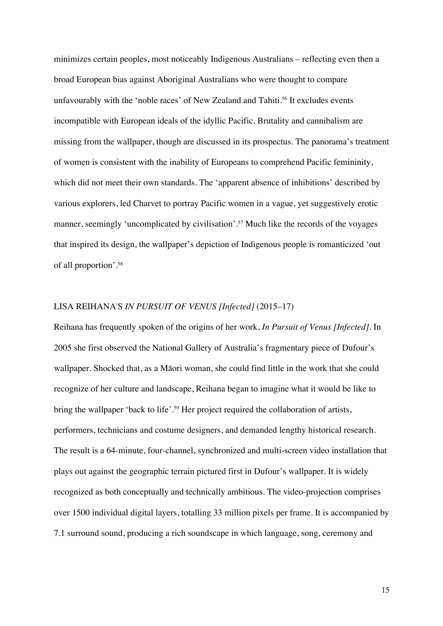minimizes certain peoples, most noticeably Indigenous Australians – reflecting even then a broad European bias against Aboriginal Australians who were thought to compare unfavourably with the 'noble races' of New Zealand and Tahiti.<sup>56</sup> It excludes events incompatible with European ideals of the idyllic Pacific. Brutality and cannibalism are missing from the wallpaper, though are discussed in its prospectus. The panorama's treatment of women is consistent with the inability of Europeans to comprehend Pacific femininity, which did not meet their own standards. The 'apparent absence of inhibitions' described by various explorers, led Charvet to portray Pacific women in a vague, yet suggestively erotic manner, seemingly 'uncomplicated by civilisation'. <sup>57</sup> Much like the records of the voyages that inspired its design, the wallpaper's depiction of Indigenous people is romanticized 'out of all proportion'. 58

#### LISA REIHANA'S *IN PURSUIT OF VENUS [Infected]* (2015–17)

Reihana has frequently spoken of the origins of her work, *In Pursuit of Venus [Infected]*. In 2005 she first observed the National Gallery of Australia's fragmentary piece of Dufour's wallpaper. Shocked that, as a Māori woman, she could find little in the work that she could recognize of her culture and landscape, Reihana began to imagine what it would be like to bring the wallpaper 'back to life'. <sup>59</sup> Her project required the collaboration of artists, performers, technicians and costume designers, and demanded lengthy historical research. The result is a 64-minute, four-channel, synchronized and multi-screen video installation that plays out against the geographic terrain pictured first in Dufour's wallpaper. It is widely recognized as both conceptually and technically ambitious. The video-projection comprises over 1500 individual digital layers, totalling 33 million pixels per frame. It is accompanied by 7.1 surround sound, producing a rich soundscape in which language, song, ceremony and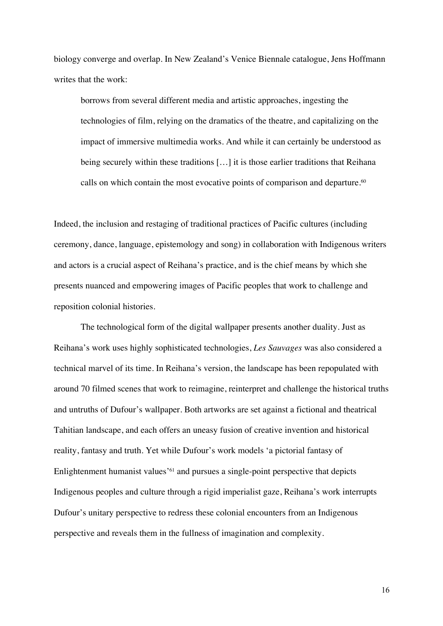biology converge and overlap. In New Zealand's Venice Biennale catalogue, Jens Hoffmann writes that the work:

borrows from several different media and artistic approaches, ingesting the technologies of film, relying on the dramatics of the theatre, and capitalizing on the impact of immersive multimedia works. And while it can certainly be understood as being securely within these traditions [...] it is those earlier traditions that Reihana calls on which contain the most evocative points of comparison and departure.<sup>60</sup>

Indeed, the inclusion and restaging of traditional practices of Pacific cultures (including ceremony, dance, language, epistemology and song) in collaboration with Indigenous writers and actors is a crucial aspect of Reihana's practice, and is the chief means by which she presents nuanced and empowering images of Pacific peoples that work to challenge and reposition colonial histories.

The technological form of the digital wallpaper presents another duality. Just as Reihana's work uses highly sophisticated technologies, *Les Sauvages* was also considered a technical marvel of its time. In Reihana's version, the landscape has been repopulated with around 70 filmed scenes that work to reimagine, reinterpret and challenge the historical truths and untruths of Dufour's wallpaper. Both artworks are set against a fictional and theatrical Tahitian landscape, and each offers an uneasy fusion of creative invention and historical reality, fantasy and truth. Yet while Dufour's work models 'a pictorial fantasy of Enlightenment humanist values'61 and pursues a single-point perspective that depicts Indigenous peoples and culture through a rigid imperialist gaze, Reihana's work interrupts Dufour's unitary perspective to redress these colonial encounters from an Indigenous perspective and reveals them in the fullness of imagination and complexity.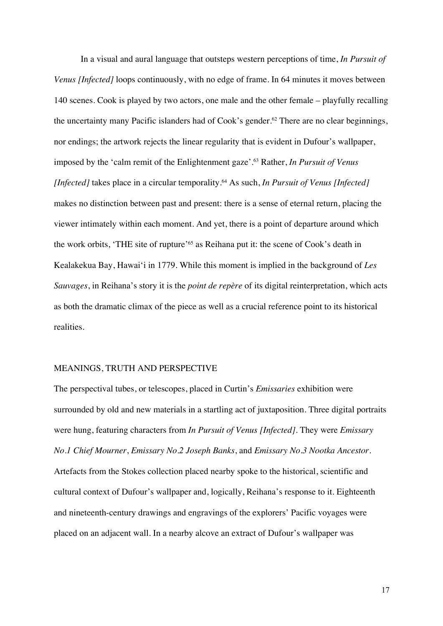In a visual and aural language that outsteps western perceptions of time, *In Pursuit of Venus [Infected]* loops continuously, with no edge of frame. In 64 minutes it moves between 140 scenes. Cook is played by two actors, one male and the other female – playfully recalling the uncertainty many Pacific islanders had of Cook's gender.<sup>62</sup> There are no clear beginnings, nor endings; the artwork rejects the linear regularity that is evident in Dufour's wallpaper, imposed by the 'calm remit of the Enlightenment gaze'. <sup>63</sup> Rather, *In Pursuit of Venus [Infected]* takes place in a circular temporality.64 As such, *In Pursuit of Venus [Infected]* makes no distinction between past and present: there is a sense of eternal return, placing the viewer intimately within each moment. And yet, there is a point of departure around which the work orbits, 'THE site of rupture'65 as Reihana put it: the scene of Cook's death in Kealakekua Bay, Hawai'i in 1779. While this moment is implied in the background of *Les Sauvages*, in Reihana's story it is the *point de repère* of its digital reinterpretation, which acts as both the dramatic climax of the piece as well as a crucial reference point to its historical realities.

#### MEANINGS, TRUTH AND PERSPECTIVE

The perspectival tubes, or telescopes, placed in Curtin's *Emissaries* exhibition were surrounded by old and new materials in a startling act of juxtaposition. Three digital portraits were hung, featuring characters from *In Pursuit of Venus [Infected]*. They were *Emissary No.1 Chief Mourner*, *Emissary No.2 Joseph Banks*, and *Emissary No.3 Nootka Ancestor*. Artefacts from the Stokes collection placed nearby spoke to the historical, scientific and cultural context of Dufour's wallpaper and, logically, Reihana's response to it. Eighteenth and nineteenth-century drawings and engravings of the explorers' Pacific voyages were placed on an adjacent wall. In a nearby alcove an extract of Dufour's wallpaper was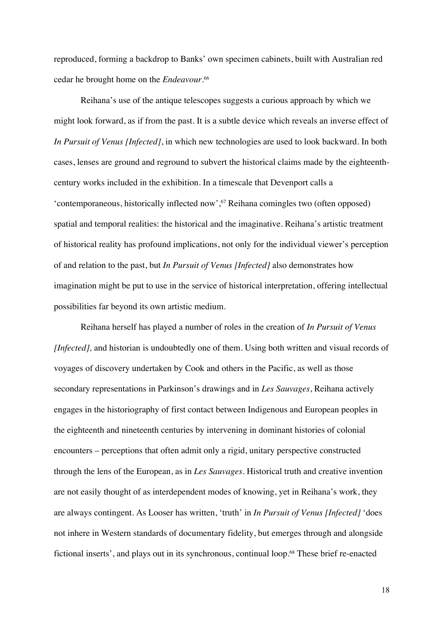reproduced, forming a backdrop to Banks' own specimen cabinets, built with Australian red cedar he brought home on the *Endeavour.* 66

Reihana's use of the antique telescopes suggests a curious approach by which we might look forward, as if from the past. It is a subtle device which reveals an inverse effect of *In Pursuit of Venus [Infected]*, in which new technologies are used to look backward. In both cases, lenses are ground and reground to subvert the historical claims made by the eighteenthcentury works included in the exhibition. In a timescale that Devenport calls a 'contemporaneous, historically inflected now', <sup>67</sup> Reihana comingles two (often opposed) spatial and temporal realities: the historical and the imaginative. Reihana's artistic treatment of historical reality has profound implications, not only for the individual viewer's perception of and relation to the past, but *In Pursuit of Venus [Infected]* also demonstrates how imagination might be put to use in the service of historical interpretation, offering intellectual possibilities far beyond its own artistic medium.

Reihana herself has played a number of roles in the creation of *In Pursuit of Venus [Infected],* and historian is undoubtedly one of them. Using both written and visual records of voyages of discovery undertaken by Cook and others in the Pacific, as well as those secondary representations in Parkinson's drawings and in *Les Sauvages*, Reihana actively engages in the historiography of first contact between Indigenous and European peoples in the eighteenth and nineteenth centuries by intervening in dominant histories of colonial encounters – perceptions that often admit only a rigid, unitary perspective constructed through the lens of the European, as in *Les Sauvages*. Historical truth and creative invention are not easily thought of as interdependent modes of knowing, yet in Reihana's work, they are always contingent. As Looser has written, 'truth' in *In Pursuit of Venus [Infected]* 'does not inhere in Western standards of documentary fidelity, but emerges through and alongside fictional inserts', and plays out in its synchronous, continual loop.68 These brief re-enacted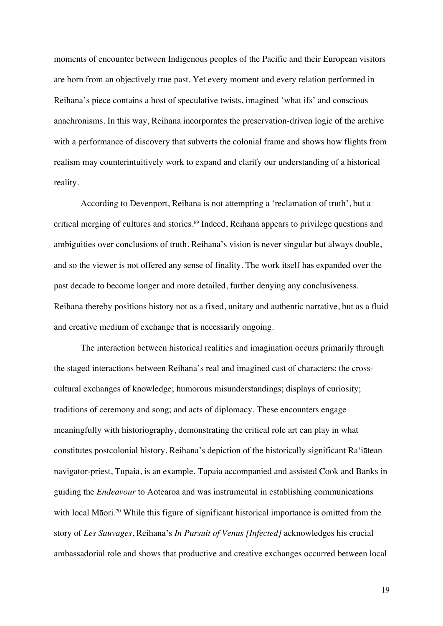moments of encounter between Indigenous peoples of the Pacific and their European visitors are born from an objectively true past. Yet every moment and every relation performed in Reihana's piece contains a host of speculative twists, imagined 'what ifs' and conscious anachronisms. In this way, Reihana incorporates the preservation-driven logic of the archive with a performance of discovery that subverts the colonial frame and shows how flights from realism may counterintuitively work to expand and clarify our understanding of a historical reality.

According to Devenport, Reihana is not attempting a 'reclamation of truth', but a critical merging of cultures and stories.<sup>69</sup> Indeed, Reihana appears to privilege questions and ambiguities over conclusions of truth. Reihana's vision is never singular but always double, and so the viewer is not offered any sense of finality. The work itself has expanded over the past decade to become longer and more detailed, further denying any conclusiveness. Reihana thereby positions history not as a fixed, unitary and authentic narrative, but as a fluid and creative medium of exchange that is necessarily ongoing.

The interaction between historical realities and imagination occurs primarily through the staged interactions between Reihana's real and imagined cast of characters: the crosscultural exchanges of knowledge; humorous misunderstandings; displays of curiosity; traditions of ceremony and song; and acts of diplomacy. These encounters engage meaningfully with historiography, demonstrating the critical role art can play in what constitutes postcolonial history. Reihana's depiction of the historically significant Ra'iātean navigator-priest, Tupaia, is an example. Tupaia accompanied and assisted Cook and Banks in guiding the *Endeavour* to Aotearoa and was instrumental in establishing communications with local Māori.<sup>70</sup> While this figure of significant historical importance is omitted from the story of *Les Sauvages*, Reihana's *In Pursuit of Venus [Infected]* acknowledges his crucial ambassadorial role and shows that productive and creative exchanges occurred between local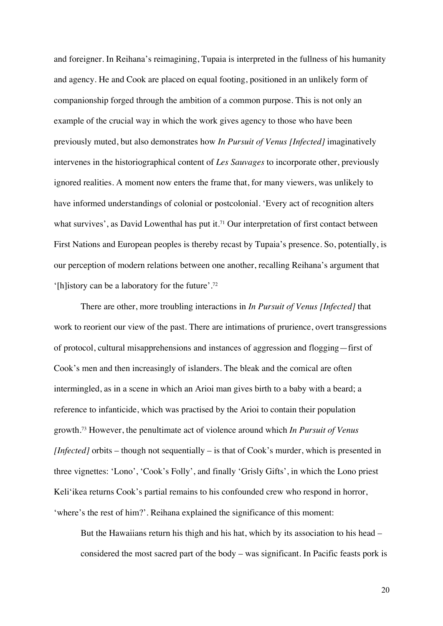and foreigner. In Reihana's reimagining, Tupaia is interpreted in the fullness of his humanity and agency. He and Cook are placed on equal footing, positioned in an unlikely form of companionship forged through the ambition of a common purpose. This is not only an example of the crucial way in which the work gives agency to those who have been previously muted, but also demonstrates how *In Pursuit of Venus [Infected]* imaginatively intervenes in the historiographical content of *Les Sauvages* to incorporate other, previously ignored realities. A moment now enters the frame that, for many viewers, was unlikely to have informed understandings of colonial or postcolonial. 'Every act of recognition alters what survives', as David Lowenthal has put it.<sup>71</sup> Our interpretation of first contact between First Nations and European peoples is thereby recast by Tupaia's presence. So, potentially, is our perception of modern relations between one another, recalling Reihana's argument that '[h]istory can be a laboratory for the future'.72

There are other, more troubling interactions in *In Pursuit of Venus [Infected]* that work to reorient our view of the past. There are intimations of prurience, overt transgressions of protocol, cultural misapprehensions and instances of aggression and flogging—first of Cook's men and then increasingly of islanders. The bleak and the comical are often intermingled, as in a scene in which an Arioi man gives birth to a baby with a beard; a reference to infanticide, which was practised by the Arioi to contain their population growth.73 However, the penultimate act of violence around which *In Pursuit of Venus [Infected]* orbits – though not sequentially – is that of Cook's murder, which is presented in three vignettes: 'Lono', 'Cook's Folly', and finally 'Grisly Gifts', in which the Lono priest Keli'ikea returns Cook's partial remains to his confounded crew who respond in horror, 'where's the rest of him?'. Reihana explained the significance of this moment:

But the Hawaiians return his thigh and his hat, which by its association to his head – considered the most sacred part of the body – was significant. In Pacific feasts pork is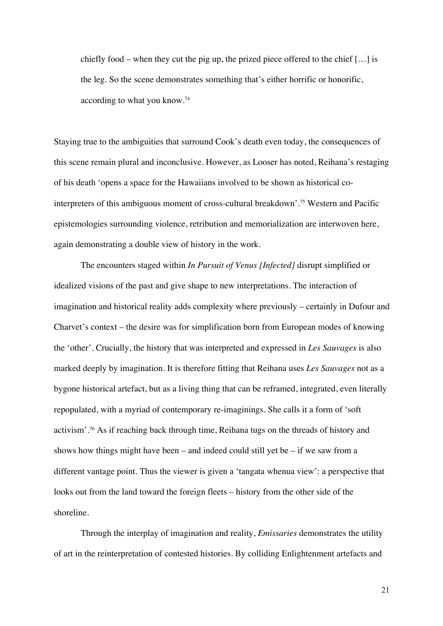chiefly food – when they cut the pig up, the prized piece offered to the chief […] is the leg. So the scene demonstrates something that's either horrific or honorific, according to what you know.74

Staying true to the ambiguities that surround Cook's death even today, the consequences of this scene remain plural and inconclusive. However, as Looser has noted, Reihana's restaging of his death 'opens a space for the Hawaiians involved to be shown as historical cointerpreters of this ambiguous moment of cross-cultural breakdown'.75 Western and Pacific epistemologies surrounding violence, retribution and memorialization are interwoven here, again demonstrating a double view of history in the work.

The encounters staged within *In Pursuit of Venus [Infected]* disrupt simplified or idealized visions of the past and give shape to new interpretations. The interaction of imagination and historical reality adds complexity where previously – certainly in Dufour and Charvet's context – the desire was for simplification born from European modes of knowing the 'other'. Crucially, the history that was interpreted and expressed in *Les Sauvages* is also marked deeply by imagination. It is therefore fitting that Reihana uses *Les Sauvages* not as a bygone historical artefact, but as a living thing that can be reframed, integrated, even literally repopulated, with a myriad of contemporary re-imaginings. She calls it a form of 'soft activism'.76 As if reaching back through time, Reihana tugs on the threads of history and shows how things might have been – and indeed could still yet be – if we saw from a different vantage point. Thus the viewer is given a 'tangata whenua view': a perspective that looks out from the land toward the foreign fleets – history from the other side of the shoreline.

Through the interplay of imagination and reality, *Emissaries* demonstrates the utility of art in the reinterpretation of contested histories. By colliding Enlightenment artefacts and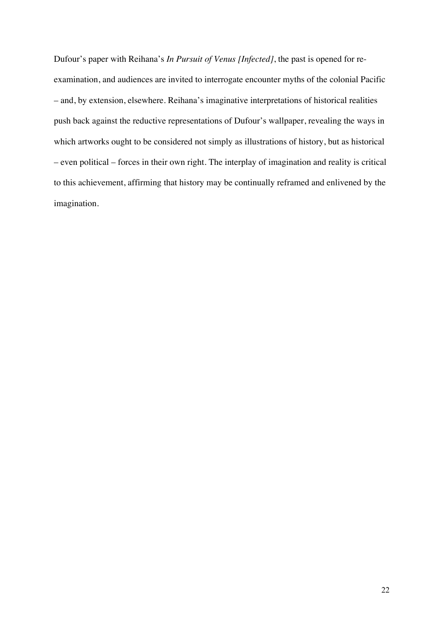Dufour's paper with Reihana's *In Pursuit of Venus [Infected]*, the past is opened for reexamination, and audiences are invited to interrogate encounter myths of the colonial Pacific – and, by extension, elsewhere. Reihana's imaginative interpretations of historical realities push back against the reductive representations of Dufour's wallpaper, revealing the ways in which artworks ought to be considered not simply as illustrations of history, but as historical – even political – forces in their own right. The interplay of imagination and reality is critical to this achievement, affirming that history may be continually reframed and enlivened by the imagination.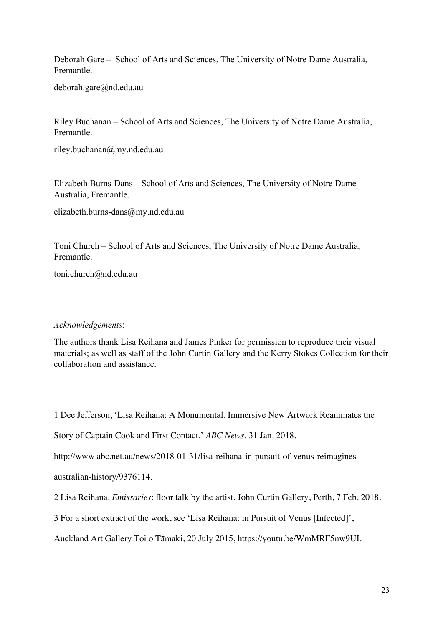Deborah Gare – School of Arts and Sciences, The University of Notre Dame Australia, Fremantle.

deborah.gare@nd.edu.au

Riley Buchanan – School of Arts and Sciences, The University of Notre Dame Australia, Fremantle.

riley.buchanan@my.nd.edu.au

Elizabeth Burns-Dans – School of Arts and Sciences, The University of Notre Dame Australia, Fremantle.

elizabeth.burns-dans@my.nd.edu.au

Toni Church – School of Arts and Sciences, The University of Notre Dame Australia, Fremantle.

toni.church@nd.edu.au

#### *Acknowledgements*:

The authors thank Lisa Reihana and James Pinker for permission to reproduce their visual materials; as well as staff of the John Curtin Gallery and the Kerry Stokes Collection for their collaboration and assistance.

1 Dee Jefferson, 'Lisa Reihana: A Monumental, Immersive New Artwork Reanimates the

Story of Captain Cook and First Contact,' *ABC News*, 31 Jan. 2018,

http://www.abc.net.au/news/2018-01-31/lisa-reihana-in-pursuit-of-venus-reimagines-

australian-history/9376114.

2 Lisa Reihana, *Emissaries*: floor talk by the artist, John Curtin Gallery, Perth, 7 Feb. 2018.

3 For a short extract of the work, see 'Lisa Reihana: in Pursuit of Venus [Infected]',

Auckland Art Gallery Toi o Tāmaki, 20 July 2015, https://youtu.be/WmMRF5nw9UI.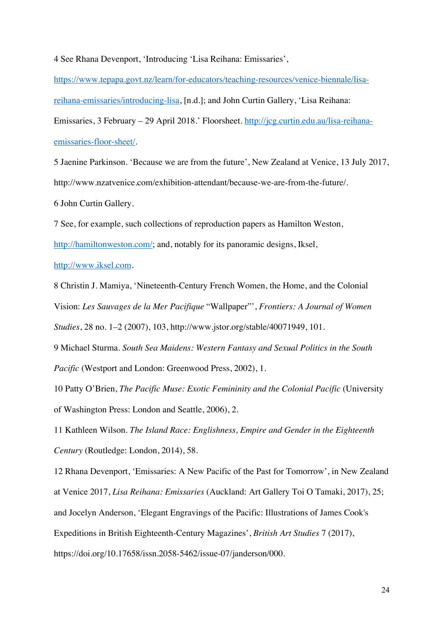4 See Rhana Devenport, 'Introducing 'Lisa Reihana: Emissaries',

https://www.tepapa.govt.nz/learn/for-educators/teaching-resources/venice-biennale/lisareihana-emissaries/introducing-lisa, [n.d.]; and John Curtin Gallery, 'Lisa Reihana: Emissaries, 3 February – 29 April 2018.' Floorsheet. http://jcg.curtin.edu.au/lisa-reihanaemissaries-floor-sheet/.

5 Jaenine Parkinson. 'Because we are from the future', New Zealand at Venice, 13 July 2017, http://www.nzatvenice.com/exhibition-attendant/because-we-are-from-the-future/. 6 John Curtin Gallery.

7 See, for example, such collections of reproduction papers as Hamilton Weston,

http://hamiltonweston.com/; and, notably for its panoramic designs, Iksel,

http://www.iksel.com.

8 Christin J. Mamiya, 'Nineteenth-Century French Women, the Home, and the Colonial Vision: *Les Sauvages de la Mer Pacifique* "Wallpaper"', *Frontiers: A Journal of Women Studies*, 28 no. 1–2 (2007), 103, http://www.jstor.org/stable/40071949, 101.

9 Michael Sturma. *South Sea Maidens: Western Fantasy and Sexual Politics in the South Pacific* (Westport and London: Greenwood Press, 2002), 1.

10 Patty O'Brien, *The Pacific Muse: Exotic Femininity and the Colonial Pacific* (University of Washington Press: London and Seattle, 2006), 2.

11 Kathleen Wilson. *The Island Race: Englishness, Empire and Gender in the Eighteenth Century* (Routledge: London, 2014), 58.

12 Rhana Devenport, 'Emissaries: A New Pacific of the Past for Tomorrow', in New Zealand at Venice 2017, *Lisa Reihana: Emissaries* (Auckland: Art Gallery Toi O Tamaki, 2017), 25; and Jocelyn Anderson, 'Elegant Engravings of the Pacific: Illustrations of James Cook's Expeditions in British Eighteenth-Century Magazines', *British Art Studies* 7 (2017), https://doi.org/10.17658/issn.2058-5462/issue-07/janderson/000.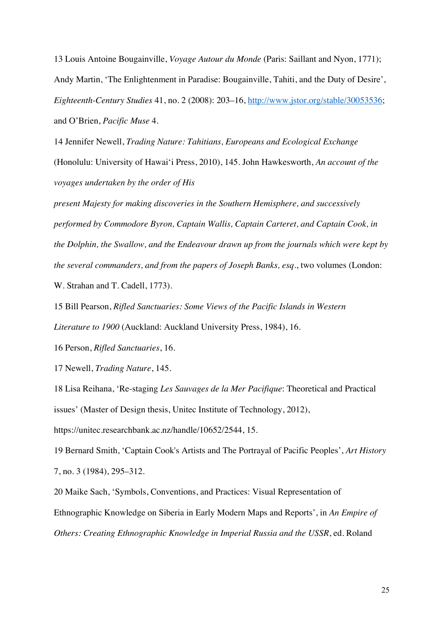13 Louis Antoine Bougainville, *Voyage Autour du Monde* (Paris: Saillant and Nyon, 1771); Andy Martin, 'The Enlightenment in Paradise: Bougainville, Tahiti, and the Duty of Desire', *Eighteenth-Century Studies* 41, no. 2 (2008): 203–16, http://www.jstor.org/stable/30053536; and O'Brien, *Pacific Muse* 4.

14 Jennifer Newell, *Trading Nature: Tahitians, Europeans and Ecological Exchange*  (Honolulu: University of Hawai'i Press, 2010), 145. John Hawkesworth, *An account of the voyages undertaken by the order of His* 

*present Majesty for making discoveries in the Southern Hemisphere, and successively performed by Commodore Byron, Captain Wallis, Captain Carteret, and Captain Cook, in the Dolphin, the Swallow, and the Endeavour drawn up from the journals which were kept by the several commanders, and from the papers of Joseph Banks, esq*., two volumes (London: W. Strahan and T. Cadell, 1773).

15 Bill Pearson, *Rifled Sanctuaries: Some Views of the Pacific Islands in Western Literature to 1900* (Auckland: Auckland University Press, 1984), 16.

16 Person, *Rifled Sanctuaries*, 16.

17 Newell, *Trading Nature*, 145.

18 Lisa Reihana, 'Re-staging *Les Sauvages de la Mer Pacifique*: Theoretical and Practical issues' (Master of Design thesis, Unitec Institute of Technology, 2012),

https://unitec.researchbank.ac.nz/handle/10652/2544, 15.

19 Bernard Smith, 'Captain Cook's Artists and The Portrayal of Pacific Peoples', *Art History* 7, no. 3 (1984), 295–312.

20 Maike Sach, 'Symbols, Conventions, and Practices: Visual Representation of Ethnographic Knowledge on Siberia in Early Modern Maps and Reports', in *An Empire of Others: Creating Ethnographic Knowledge in Imperial Russia and the USSR*, ed. Roland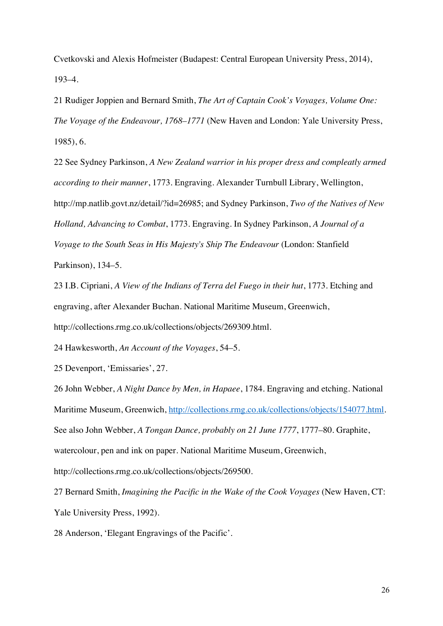Cvetkovski and Alexis Hofmeister (Budapest: Central European University Press, 2014), 193–4.

21 Rudiger Joppien and Bernard Smith, *The Art of Captain Cook's Voyages, Volume One: The Voyage of the Endeavour, 1768–1771* (New Haven and London: Yale University Press, 1985), 6.

22 See Sydney Parkinson, *A New Zealand warrior in his proper dress and compleatly armed according to their manner*, 1773. Engraving. Alexander Turnbull Library, Wellington, http://mp.natlib.govt.nz/detail/?id=26985; and Sydney Parkinson, *Two of the Natives of New Holland, Advancing to Combat*, 1773. Engraving. In Sydney Parkinson, *A Journal of a Voyage to the South Seas in His Majesty's Ship The Endeavour* (London: Stanfield Parkinson), 134–5.

23 I.B. Cipriani, *A View of the Indians of Terra del Fuego in their hut*, 1773. Etching and engraving, after Alexander Buchan. National Maritime Museum, Greenwich, http://collections.rmg.co.uk/collections/objects/269309.html.

24 Hawkesworth, *An Account of the Voyages*, 54–5.

25 Devenport, 'Emissaries', 27.

26 John Webber, *A Night Dance by Men, in Hapaee*, 1784. Engraving and etching. National Maritime Museum, Greenwich, http://collections.rmg.co.uk/collections/objects/154077.html. See also John Webber, *A Tongan Dance, probably on 21 June 1777*, 1777–80. Graphite, watercolour, pen and ink on paper. National Maritime Museum, Greenwich, http://collections.rmg.co.uk/collections/objects/269500.

27 Bernard Smith, *Imagining the Pacific in the Wake of the Cook Voyages* (New Haven, CT: Yale University Press, 1992).

28 Anderson, 'Elegant Engravings of the Pacific'.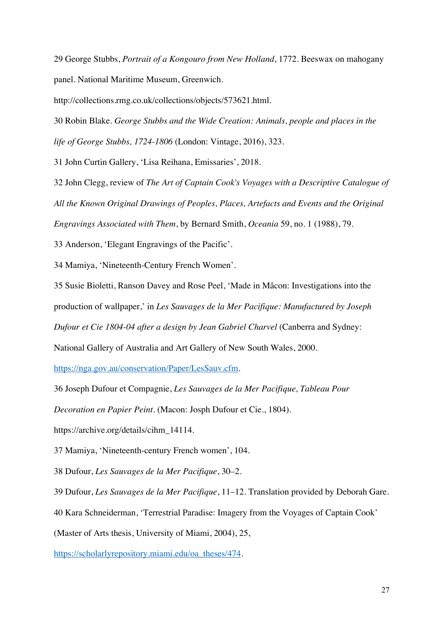29 George Stubbs, *Portrait of a Kongouro from New Holland*, 1772. Beeswax on mahogany panel. National Maritime Museum, Greenwich.

http://collections.rmg.co.uk/collections/objects/573621.html.

30 Robin Blake. *George Stubbs and the Wide Creation: Animals, people and places in the life of George Stubbs, 1724-1806* (London: Vintage, 2016), 323.

31 John Curtin Gallery, 'Lisa Reihana, Emissaries', 2018.

32 John Clegg, review of *The Art of Captain Cook's Voyages with a Descriptive Catalogue of All the Known Original Drawings of Peoples, Places, Artefacts and Events and the Original Engravings Associated with Them*, by Bernard Smith, *Oceania* 59, no. 1 (1988), 79.

33 Anderson, 'Elegant Engravings of the Pacific'.

34 Mamiya, 'Nineteenth-Century French Women'.

35 Susie Bioletti, Ranson Davey and Rose Peel, 'Made in Mâcon: Investigations into the production of wallpaper,' in *Les Sauvages de la Mer Pacifique: Manufactured by Joseph Dufour et Cie 1804-04 after a design by Jean Gabriel Charvel* (Canberra and Sydney:

National Gallery of Australia and Art Gallery of New South Wales, 2000.

https://nga.gov.au/conservation/Paper/LesSauv.cfm.

36 Joseph Dufour et Compagnie, *Les Sauvages de la Mer Pacifique, Tableau Pour* 

*Decoration en Papier Peint*. (Macon: Josph Dufour et Cie., 1804).

https://archive.org/details/cihm\_14114.

37 Mamiya, 'Nineteenth-century French women', 104.

38 Dufour, *Les Sauvages de la Mer Pacifique*, 30–2.

39 Dufour, *Les Sauvages de la Mer Pacifique*, 11–12. Translation provided by Deborah Gare.

40 Kara Schneiderman, 'Terrestrial Paradise: Imagery from the Voyages of Captain Cook'

(Master of Arts thesis, University of Miami, 2004), 25,

https://scholarlyrepository.miami.edu/oa\_theses/474.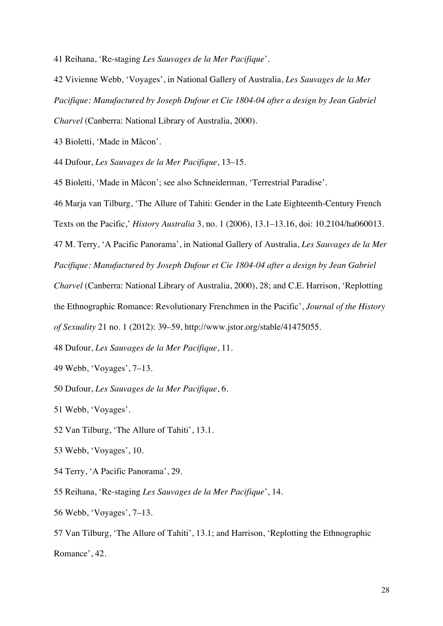41 Reihana, 'Re-staging *Les Sauvages de la Mer Pacifique*'.

42 Vivienne Webb, 'Voyages', in National Gallery of Australia, *Les Sauvages de la Mer Pacifique: Manufactured by Joseph Dufour et Cie 1804-04 after a design by Jean Gabriel Charvel* (Canberra: National Library of Australia, 2000).

43 Bioletti, 'Made in Mâcon'.

44 Dufour, *Les Sauvages de la Mer Pacifique*, 13–15.

45 Bioletti, 'Made in Mâcon'; see also Schneiderman, 'Terrestrial Paradise'.

46 Marja van Tilburg, 'The Allure of Tahiti: Gender in the Late Eighteenth-Century French

Texts on the Pacific,' *History Australia* 3, no. 1 (2006), 13.1–13.16, doi: 10.2104/ha060013.

47 M. Terry, 'A Pacific Panorama', in National Gallery of Australia, *Les Sauvages de la Mer Pacifique: Manufactured by Joseph Dufour et Cie 1804-04 after a design by Jean Gabriel* 

*Charvel* (Canberra: National Library of Australia, 2000), 28; and C.E. Harrison, 'Replotting the Ethnographic Romance: Revolutionary Frenchmen in the Pacific', *Journal of the History* 

*of Sexuality* 21 no. 1 (2012): 39–59, http://www.jstor.org/stable/41475055.

48 Dufour, *Les Sauvages de la Mer Pacifique*, 11.

49 Webb, 'Voyages', 7–13.

50 Dufour, *Les Sauvages de la Mer Pacifique*, 6.

51 Webb, 'Voyages'.

52 Van Tilburg, 'The Allure of Tahiti', 13.1.

53 Webb, 'Voyages', 10.

54 Terry, 'A Pacific Panorama', 29.

55 Reihana, 'Re-staging *Les Sauvages de la Mer Pacifique*', 14.

56 Webb, 'Voyages', 7–13.

57 Van Tilburg, 'The Allure of Tahiti', 13.1; and Harrison, 'Replotting the Ethnographic Romance', 42.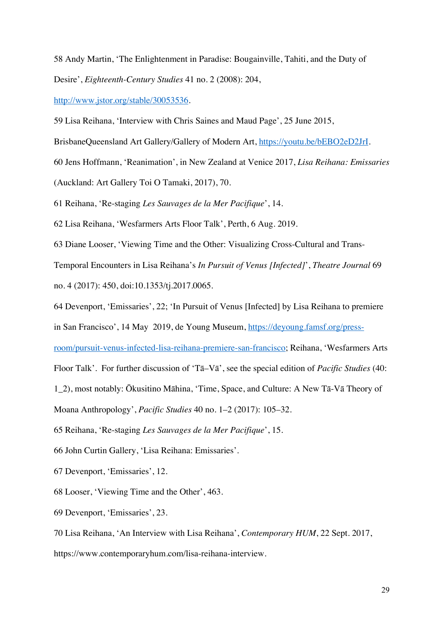58 Andy Martin, 'The Enlightenment in Paradise: Bougainville, Tahiti, and the Duty of Desire', *Eighteenth-Century Studies* 41 no. 2 (2008): 204,

http://www.jstor.org/stable/30053536.

59 Lisa Reihana, 'Interview with Chris Saines and Maud Page', 25 June 2015,

BrisbaneQueensland Art Gallery/Gallery of Modern Art, https://youtu.be/bEBO2eD2JrI.

60 Jens Hoffmann, 'Reanimation', in New Zealand at Venice 2017, *Lisa Reihana: Emissaries*

(Auckland: Art Gallery Toi O Tamaki, 2017), 70.

61 Reihana, 'Re-staging *Les Sauvages de la Mer Pacifique*', 14.

62 Lisa Reihana, 'Wesfarmers Arts Floor Talk', Perth, 6 Aug. 2019.

63 Diane Looser, 'Viewing Time and the Other: Visualizing Cross-Cultural and Trans-

Temporal Encounters in Lisa Reihana's *In Pursuit of Venus [Infected]*', *Theatre Journal* 69

no. 4 (2017): 450, doi:10.1353/tj.2017.0065.

64 Devenport, 'Emissaries', 22; 'In Pursuit of Venus [Infected] by Lisa Reihana to premiere

in San Francisco', 14 May 2019, de Young Museum, https://deyoung.famsf.org/press-

room/pursuit-venus-infected-lisa-reihana-premiere-san-francisco; Reihana, 'Wesfarmers Arts

Floor Talk'. For further discussion of 'Tā–Vā', see the special edition of *Pacific Studies* (40:

1\_2), most notably: Ōkusitino Māhina, 'Time, Space, and Culture: A New Tā-Vā Theory of

Moana Anthropology', *Pacific Studies* 40 no. 1–2 (2017): 105–32.

65 Reihana, 'Re-staging *Les Sauvages de la Mer Pacifique*', 15.

66 John Curtin Gallery, 'Lisa Reihana: Emissaries'.

67 Devenport, 'Emissaries', 12.

68 Looser, 'Viewing Time and the Other', 463.

69 Devenport, 'Emissaries', 23.

70 Lisa Reihana, 'An Interview with Lisa Reihana', *Contemporary HUM*, 22 Sept. 2017, https://www.contemporaryhum.com/lisa-reihana-interview.